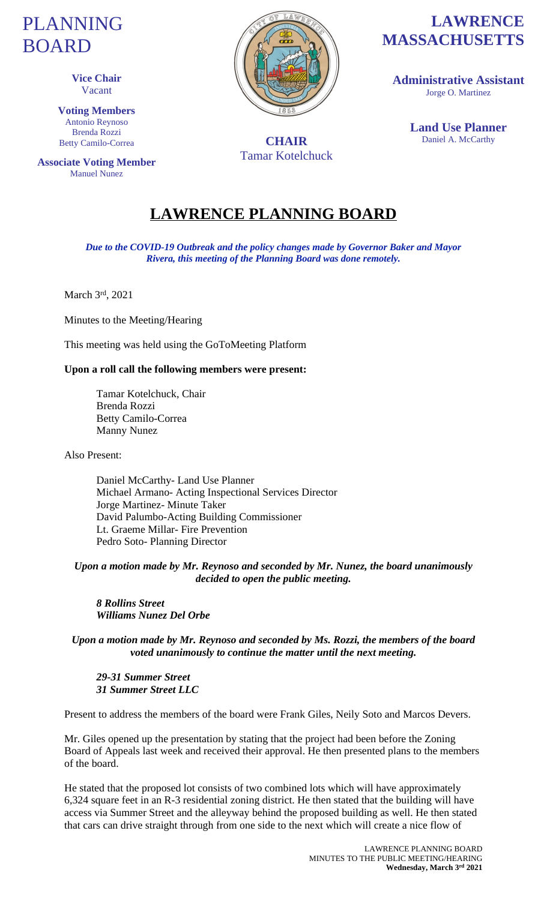# PLANNING BOARD

**PEALS Vice Chair** Vacant

> **Voting Members** Antonio Reynoso Brenda Rozzi Betty Camilo-Correa

**Associate Voting Member** Manuel Nunez



Tamar Kotelchuck

# **LAWRENCE MASSACHUSETTS**

**Administrative Assistant** Jorge O. Martinez

**Land Use Planner CHAIR** Daniel A. McCarthy

# **LAWRENCE PLANNING BOARD**

*Due to the COVID-19 Outbreak and the policy changes made by Governor Baker and Mayor Rivera, this meeting of the Planning Board was done remotely.*

March 3rd, 2021

Minutes to the Meeting/Hearing

This meeting was held using the GoToMeeting Platform

#### **Upon a roll call the following members were present:**

Tamar Kotelchuck, Chair Brenda Rozzi Betty Camilo-Correa Manny Nunez

Also Present:

Daniel McCarthy- Land Use Planner Michael Armano- Acting Inspectional Services Director Jorge Martinez- Minute Taker David Palumbo-Acting Building Commissioner Lt. Graeme Millar- Fire Prevention Pedro Soto- Planning Director

*Upon a motion made by Mr. Reynoso and seconded by Mr. Nunez, the board unanimously decided to open the public meeting.*

*8 Rollins Street Williams Nunez Del Orbe*

*Upon a motion made by Mr. Reynoso and seconded by Ms. Rozzi, the members of the board voted unanimously to continue the matter until the next meeting.*

*29-31 Summer Street 31 Summer Street LLC*

Present to address the members of the board were Frank Giles, Neily Soto and Marcos Devers.

Mr. Giles opened up the presentation by stating that the project had been before the Zoning Board of Appeals last week and received their approval. He then presented plans to the members of the board.

He stated that the proposed lot consists of two combined lots which will have approximately 6,324 square feet in an R-3 residential zoning district. He then stated that the building will have access via Summer Street and the alleyway behind the proposed building as well. He then stated that cars can drive straight through from one side to the next which will create a nice flow of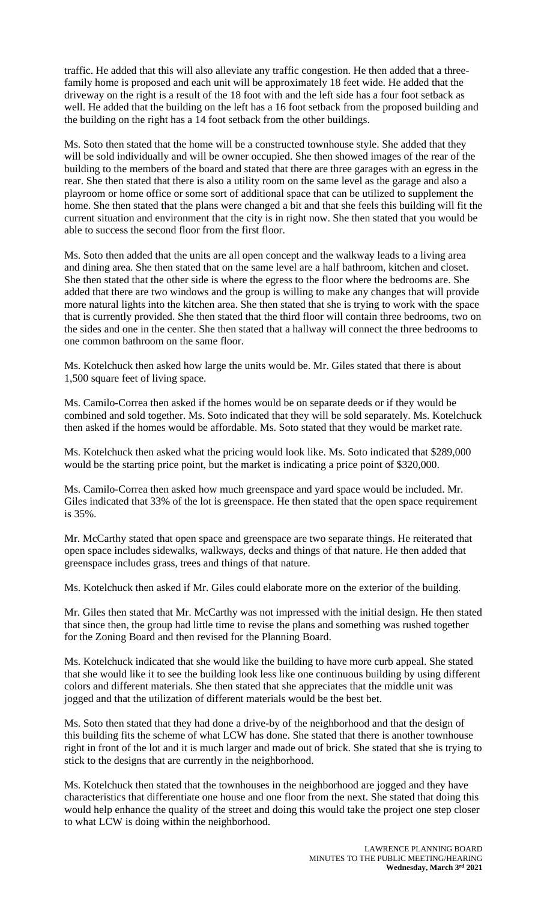traffic. He added that this will also alleviate any traffic congestion. He then added that a threefamily home is proposed and each unit will be approximately 18 feet wide. He added that the driveway on the right is a result of the 18 foot with and the left side has a four foot setback as well. He added that the building on the left has a 16 foot setback from the proposed building and the building on the right has a 14 foot setback from the other buildings.

Ms. Soto then stated that the home will be a constructed townhouse style. She added that they will be sold individually and will be owner occupied. She then showed images of the rear of the building to the members of the board and stated that there are three garages with an egress in the rear. She then stated that there is also a utility room on the same level as the garage and also a playroom or home office or some sort of additional space that can be utilized to supplement the home. She then stated that the plans were changed a bit and that she feels this building will fit the current situation and environment that the city is in right now. She then stated that you would be able to success the second floor from the first floor.

Ms. Soto then added that the units are all open concept and the walkway leads to a living area and dining area. She then stated that on the same level are a half bathroom, kitchen and closet. She then stated that the other side is where the egress to the floor where the bedrooms are. She added that there are two windows and the group is willing to make any changes that will provide more natural lights into the kitchen area. She then stated that she is trying to work with the space that is currently provided. She then stated that the third floor will contain three bedrooms, two on the sides and one in the center. She then stated that a hallway will connect the three bedrooms to one common bathroom on the same floor.

Ms. Kotelchuck then asked how large the units would be. Mr. Giles stated that there is about 1,500 square feet of living space.

Ms. Camilo-Correa then asked if the homes would be on separate deeds or if they would be combined and sold together. Ms. Soto indicated that they will be sold separately. Ms. Kotelchuck then asked if the homes would be affordable. Ms. Soto stated that they would be market rate.

Ms. Kotelchuck then asked what the pricing would look like. Ms. Soto indicated that \$289,000 would be the starting price point, but the market is indicating a price point of \$320,000.

Ms. Camilo-Correa then asked how much greenspace and yard space would be included. Mr. Giles indicated that 33% of the lot is greenspace. He then stated that the open space requirement is 35%.

Mr. McCarthy stated that open space and greenspace are two separate things. He reiterated that open space includes sidewalks, walkways, decks and things of that nature. He then added that greenspace includes grass, trees and things of that nature.

Ms. Kotelchuck then asked if Mr. Giles could elaborate more on the exterior of the building.

Mr. Giles then stated that Mr. McCarthy was not impressed with the initial design. He then stated that since then, the group had little time to revise the plans and something was rushed together for the Zoning Board and then revised for the Planning Board.

Ms. Kotelchuck indicated that she would like the building to have more curb appeal. She stated that she would like it to see the building look less like one continuous building by using different colors and different materials. She then stated that she appreciates that the middle unit was jogged and that the utilization of different materials would be the best bet.

Ms. Soto then stated that they had done a drive-by of the neighborhood and that the design of this building fits the scheme of what LCW has done. She stated that there is another townhouse right in front of the lot and it is much larger and made out of brick. She stated that she is trying to stick to the designs that are currently in the neighborhood.

Ms. Kotelchuck then stated that the townhouses in the neighborhood are jogged and they have characteristics that differentiate one house and one floor from the next. She stated that doing this would help enhance the quality of the street and doing this would take the project one step closer to what LCW is doing within the neighborhood.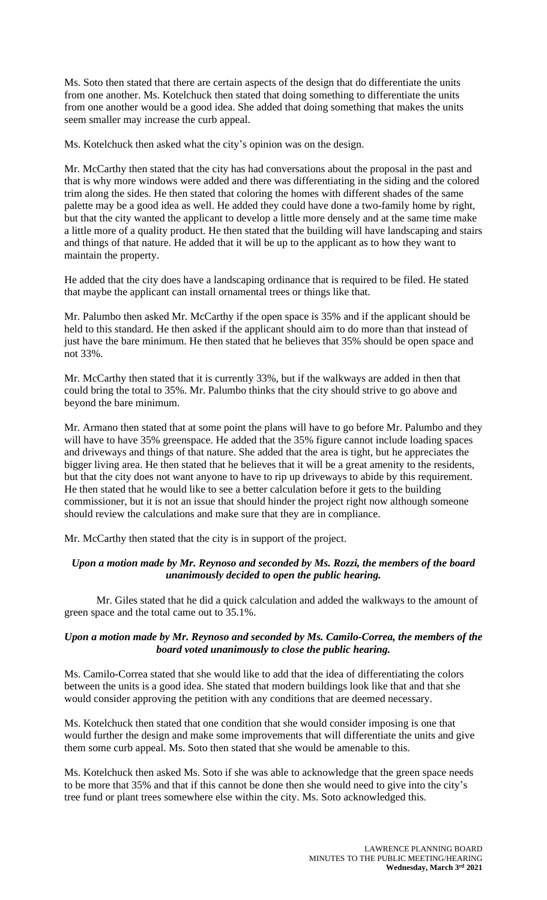Ms. Soto then stated that there are certain aspects of the design that do differentiate the units from one another. Ms. Kotelchuck then stated that doing something to differentiate the units from one another would be a good idea. She added that doing something that makes the units seem smaller may increase the curb appeal.

Ms. Kotelchuck then asked what the city's opinion was on the design.

Mr. McCarthy then stated that the city has had conversations about the proposal in the past and that is why more windows were added and there was differentiating in the siding and the colored trim along the sides. He then stated that coloring the homes with different shades of the same palette may be a good idea as well. He added they could have done a two-family home by right, but that the city wanted the applicant to develop a little more densely and at the same time make a little more of a quality product. He then stated that the building will have landscaping and stairs and things of that nature. He added that it will be up to the applicant as to how they want to maintain the property.

He added that the city does have a landscaping ordinance that is required to be filed. He stated that maybe the applicant can install ornamental trees or things like that.

Mr. Palumbo then asked Mr. McCarthy if the open space is 35% and if the applicant should be held to this standard. He then asked if the applicant should aim to do more than that instead of just have the bare minimum. He then stated that he believes that 35% should be open space and not 33%.

Mr. McCarthy then stated that it is currently 33%, but if the walkways are added in then that could bring the total to 35%. Mr. Palumbo thinks that the city should strive to go above and beyond the bare minimum.

Mr. Armano then stated that at some point the plans will have to go before Mr. Palumbo and they will have to have 35% greenspace. He added that the 35% figure cannot include loading spaces and driveways and things of that nature. She added that the area is tight, but he appreciates the bigger living area. He then stated that he believes that it will be a great amenity to the residents, but that the city does not want anyone to have to rip up driveways to abide by this requirement. He then stated that he would like to see a better calculation before it gets to the building commissioner, but it is not an issue that should hinder the project right now although someone should review the calculations and make sure that they are in compliance.

Mr. McCarthy then stated that the city is in support of the project.

#### *Upon a motion made by Mr. Reynoso and seconded by Ms. Rozzi, the members of the board unanimously decided to open the public hearing.*

Mr. Giles stated that he did a quick calculation and added the walkways to the amount of green space and the total came out to 35.1%.

#### *Upon a motion made by Mr. Reynoso and seconded by Ms. Camilo-Correa, the members of the board voted unanimously to close the public hearing.*

Ms. Camilo-Correa stated that she would like to add that the idea of differentiating the colors between the units is a good idea. She stated that modern buildings look like that and that she would consider approving the petition with any conditions that are deemed necessary.

Ms. Kotelchuck then stated that one condition that she would consider imposing is one that would further the design and make some improvements that will differentiate the units and give them some curb appeal. Ms. Soto then stated that she would be amenable to this.

Ms. Kotelchuck then asked Ms. Soto if she was able to acknowledge that the green space needs to be more that 35% and that if this cannot be done then she would need to give into the city's tree fund or plant trees somewhere else within the city. Ms. Soto acknowledged this.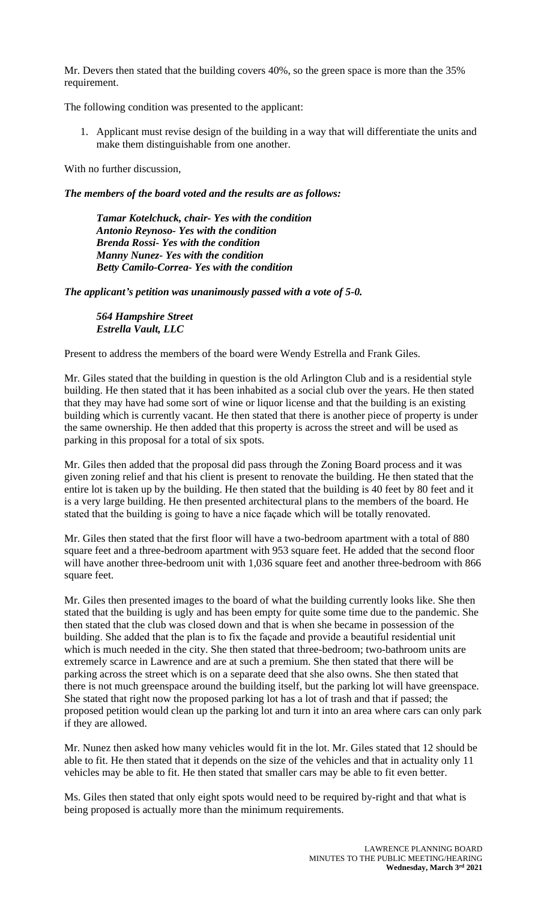Mr. Devers then stated that the building covers 40%, so the green space is more than the 35% requirement.

The following condition was presented to the applicant:

1. Applicant must revise design of the building in a way that will differentiate the units and make them distinguishable from one another.

With no further discussion,

*The members of the board voted and the results are as follows:*

*Tamar Kotelchuck, chair- Yes with the condition Antonio Reynoso- Yes with the condition Brenda Rossi- Yes with the condition Manny Nunez- Yes with the condition Betty Camilo-Correa- Yes with the condition*

*The applicant's petition was unanimously passed with a vote of 5-0.*

*564 Hampshire Street Estrella Vault, LLC*

Present to address the members of the board were Wendy Estrella and Frank Giles.

Mr. Giles stated that the building in question is the old Arlington Club and is a residential style building. He then stated that it has been inhabited as a social club over the years. He then stated that they may have had some sort of wine or liquor license and that the building is an existing building which is currently vacant. He then stated that there is another piece of property is under the same ownership. He then added that this property is across the street and will be used as parking in this proposal for a total of six spots.

Mr. Giles then added that the proposal did pass through the Zoning Board process and it was given zoning relief and that his client is present to renovate the building. He then stated that the entire lot is taken up by the building. He then stated that the building is 40 feet by 80 feet and it is a very large building. He then presented architectural plans to the members of the board. He stated that the building is going to have a nice façade which will be totally renovated.

Mr. Giles then stated that the first floor will have a two-bedroom apartment with a total of 880 square feet and a three-bedroom apartment with 953 square feet. He added that the second floor will have another three-bedroom unit with 1,036 square feet and another three-bedroom with 866 square feet.

Mr. Giles then presented images to the board of what the building currently looks like. She then stated that the building is ugly and has been empty for quite some time due to the pandemic. She then stated that the club was closed down and that is when she became in possession of the building. She added that the plan is to fix the façade and provide a beautiful residential unit which is much needed in the city. She then stated that three-bedroom; two-bathroom units are extremely scarce in Lawrence and are at such a premium. She then stated that there will be parking across the street which is on a separate deed that she also owns. She then stated that there is not much greenspace around the building itself, but the parking lot will have greenspace. She stated that right now the proposed parking lot has a lot of trash and that if passed; the proposed petition would clean up the parking lot and turn it into an area where cars can only park if they are allowed.

Mr. Nunez then asked how many vehicles would fit in the lot. Mr. Giles stated that 12 should be able to fit. He then stated that it depends on the size of the vehicles and that in actuality only 11 vehicles may be able to fit. He then stated that smaller cars may be able to fit even better.

Ms. Giles then stated that only eight spots would need to be required by-right and that what is being proposed is actually more than the minimum requirements.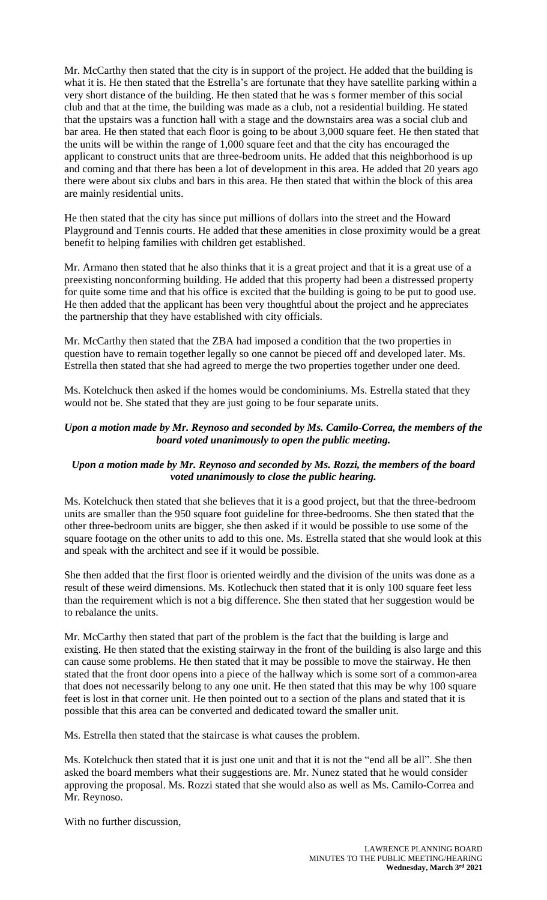Mr. McCarthy then stated that the city is in support of the project. He added that the building is what it is. He then stated that the Estrella's are fortunate that they have satellite parking within a very short distance of the building. He then stated that he was s former member of this social club and that at the time, the building was made as a club, not a residential building. He stated that the upstairs was a function hall with a stage and the downstairs area was a social club and bar area. He then stated that each floor is going to be about 3,000 square feet. He then stated that the units will be within the range of 1,000 square feet and that the city has encouraged the applicant to construct units that are three-bedroom units. He added that this neighborhood is up and coming and that there has been a lot of development in this area. He added that 20 years ago there were about six clubs and bars in this area. He then stated that within the block of this area are mainly residential units.

He then stated that the city has since put millions of dollars into the street and the Howard Playground and Tennis courts. He added that these amenities in close proximity would be a great benefit to helping families with children get established.

Mr. Armano then stated that he also thinks that it is a great project and that it is a great use of a preexisting nonconforming building. He added that this property had been a distressed property for quite some time and that his office is excited that the building is going to be put to good use. He then added that the applicant has been very thoughtful about the project and he appreciates the partnership that they have established with city officials.

Mr. McCarthy then stated that the ZBA had imposed a condition that the two properties in question have to remain together legally so one cannot be pieced off and developed later. Ms. Estrella then stated that she had agreed to merge the two properties together under one deed.

Ms. Kotelchuck then asked if the homes would be condominiums. Ms. Estrella stated that they would not be. She stated that they are just going to be four separate units.

#### *Upon a motion made by Mr. Reynoso and seconded by Ms. Camilo-Correa, the members of the board voted unanimously to open the public meeting.*

#### *Upon a motion made by Mr. Reynoso and seconded by Ms. Rozzi, the members of the board voted unanimously to close the public hearing.*

Ms. Kotelchuck then stated that she believes that it is a good project, but that the three-bedroom units are smaller than the 950 square foot guideline for three-bedrooms. She then stated that the other three-bedroom units are bigger, she then asked if it would be possible to use some of the square footage on the other units to add to this one. Ms. Estrella stated that she would look at this and speak with the architect and see if it would be possible.

She then added that the first floor is oriented weirdly and the division of the units was done as a result of these weird dimensions. Ms. Kotlechuck then stated that it is only 100 square feet less than the requirement which is not a big difference. She then stated that her suggestion would be to rebalance the units.

Mr. McCarthy then stated that part of the problem is the fact that the building is large and existing. He then stated that the existing stairway in the front of the building is also large and this can cause some problems. He then stated that it may be possible to move the stairway. He then stated that the front door opens into a piece of the hallway which is some sort of a common-area that does not necessarily belong to any one unit. He then stated that this may be why 100 square feet is lost in that corner unit. He then pointed out to a section of the plans and stated that it is possible that this area can be converted and dedicated toward the smaller unit.

Ms. Estrella then stated that the staircase is what causes the problem.

Ms. Kotelchuck then stated that it is just one unit and that it is not the "end all be all". She then asked the board members what their suggestions are. Mr. Nunez stated that he would consider approving the proposal. Ms. Rozzi stated that she would also as well as Ms. Camilo-Correa and Mr. Reynoso.

With no further discussion,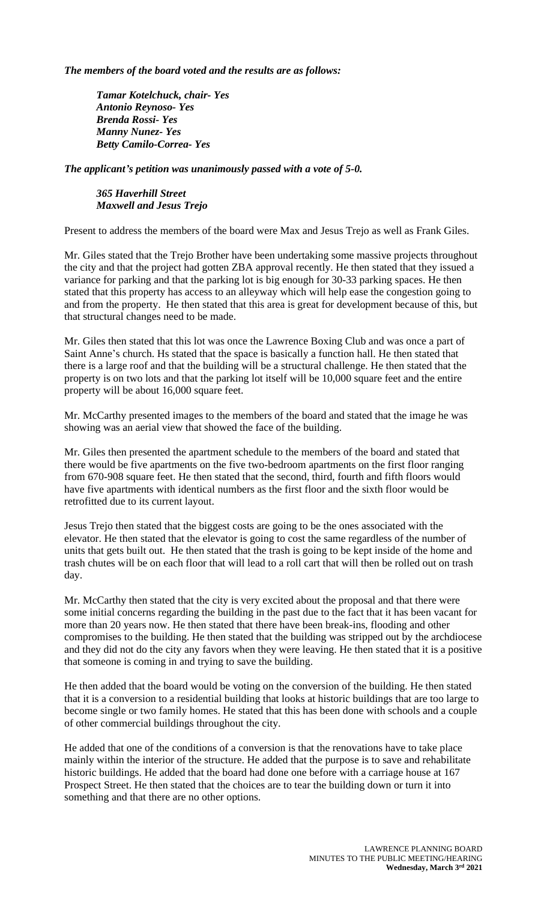*The members of the board voted and the results are as follows:*

*Tamar Kotelchuck, chair- Yes Antonio Reynoso- Yes Brenda Rossi- Yes Manny Nunez- Yes Betty Camilo-Correa- Yes*

*The applicant's petition was unanimously passed with a vote of 5-0.*

*365 Haverhill Street Maxwell and Jesus Trejo*

Present to address the members of the board were Max and Jesus Trejo as well as Frank Giles.

Mr. Giles stated that the Trejo Brother have been undertaking some massive projects throughout the city and that the project had gotten ZBA approval recently. He then stated that they issued a variance for parking and that the parking lot is big enough for 30-33 parking spaces. He then stated that this property has access to an alleyway which will help ease the congestion going to and from the property. He then stated that this area is great for development because of this, but that structural changes need to be made.

Mr. Giles then stated that this lot was once the Lawrence Boxing Club and was once a part of Saint Anne's church. Hs stated that the space is basically a function hall. He then stated that there is a large roof and that the building will be a structural challenge. He then stated that the property is on two lots and that the parking lot itself will be 10,000 square feet and the entire property will be about 16,000 square feet.

Mr. McCarthy presented images to the members of the board and stated that the image he was showing was an aerial view that showed the face of the building.

Mr. Giles then presented the apartment schedule to the members of the board and stated that there would be five apartments on the five two-bedroom apartments on the first floor ranging from 670-908 square feet. He then stated that the second, third, fourth and fifth floors would have five apartments with identical numbers as the first floor and the sixth floor would be retrofitted due to its current layout.

Jesus Trejo then stated that the biggest costs are going to be the ones associated with the elevator. He then stated that the elevator is going to cost the same regardless of the number of units that gets built out. He then stated that the trash is going to be kept inside of the home and trash chutes will be on each floor that will lead to a roll cart that will then be rolled out on trash day.

Mr. McCarthy then stated that the city is very excited about the proposal and that there were some initial concerns regarding the building in the past due to the fact that it has been vacant for more than 20 years now. He then stated that there have been break-ins, flooding and other compromises to the building. He then stated that the building was stripped out by the archdiocese and they did not do the city any favors when they were leaving. He then stated that it is a positive that someone is coming in and trying to save the building.

He then added that the board would be voting on the conversion of the building. He then stated that it is a conversion to a residential building that looks at historic buildings that are too large to become single or two family homes. He stated that this has been done with schools and a couple of other commercial buildings throughout the city.

He added that one of the conditions of a conversion is that the renovations have to take place mainly within the interior of the structure. He added that the purpose is to save and rehabilitate historic buildings. He added that the board had done one before with a carriage house at 167 Prospect Street. He then stated that the choices are to tear the building down or turn it into something and that there are no other options.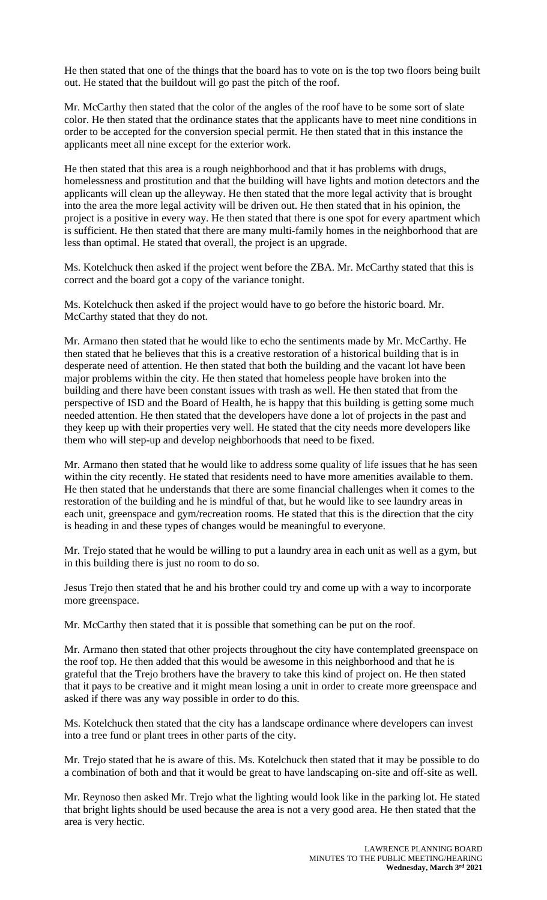He then stated that one of the things that the board has to vote on is the top two floors being built out. He stated that the buildout will go past the pitch of the roof.

Mr. McCarthy then stated that the color of the angles of the roof have to be some sort of slate color. He then stated that the ordinance states that the applicants have to meet nine conditions in order to be accepted for the conversion special permit. He then stated that in this instance the applicants meet all nine except for the exterior work.

He then stated that this area is a rough neighborhood and that it has problems with drugs, homelessness and prostitution and that the building will have lights and motion detectors and the applicants will clean up the alleyway. He then stated that the more legal activity that is brought into the area the more legal activity will be driven out. He then stated that in his opinion, the project is a positive in every way. He then stated that there is one spot for every apartment which is sufficient. He then stated that there are many multi-family homes in the neighborhood that are less than optimal. He stated that overall, the project is an upgrade.

Ms. Kotelchuck then asked if the project went before the ZBA. Mr. McCarthy stated that this is correct and the board got a copy of the variance tonight.

Ms. Kotelchuck then asked if the project would have to go before the historic board. Mr. McCarthy stated that they do not.

Mr. Armano then stated that he would like to echo the sentiments made by Mr. McCarthy. He then stated that he believes that this is a creative restoration of a historical building that is in desperate need of attention. He then stated that both the building and the vacant lot have been major problems within the city. He then stated that homeless people have broken into the building and there have been constant issues with trash as well. He then stated that from the perspective of ISD and the Board of Health, he is happy that this building is getting some much needed attention. He then stated that the developers have done a lot of projects in the past and they keep up with their properties very well. He stated that the city needs more developers like them who will step-up and develop neighborhoods that need to be fixed.

Mr. Armano then stated that he would like to address some quality of life issues that he has seen within the city recently. He stated that residents need to have more amenities available to them. He then stated that he understands that there are some financial challenges when it comes to the restoration of the building and he is mindful of that, but he would like to see laundry areas in each unit, greenspace and gym/recreation rooms. He stated that this is the direction that the city is heading in and these types of changes would be meaningful to everyone.

Mr. Trejo stated that he would be willing to put a laundry area in each unit as well as a gym, but in this building there is just no room to do so.

Jesus Trejo then stated that he and his brother could try and come up with a way to incorporate more greenspace.

Mr. McCarthy then stated that it is possible that something can be put on the roof.

Mr. Armano then stated that other projects throughout the city have contemplated greenspace on the roof top. He then added that this would be awesome in this neighborhood and that he is grateful that the Trejo brothers have the bravery to take this kind of project on. He then stated that it pays to be creative and it might mean losing a unit in order to create more greenspace and asked if there was any way possible in order to do this.

Ms. Kotelchuck then stated that the city has a landscape ordinance where developers can invest into a tree fund or plant trees in other parts of the city.

Mr. Trejo stated that he is aware of this. Ms. Kotelchuck then stated that it may be possible to do a combination of both and that it would be great to have landscaping on-site and off-site as well.

Mr. Reynoso then asked Mr. Trejo what the lighting would look like in the parking lot. He stated that bright lights should be used because the area is not a very good area. He then stated that the area is very hectic.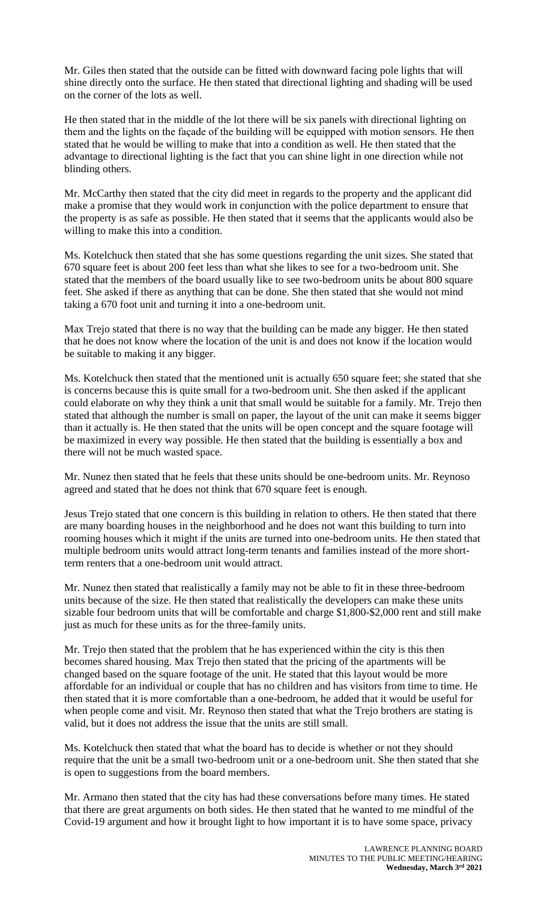Mr. Giles then stated that the outside can be fitted with downward facing pole lights that will shine directly onto the surface. He then stated that directional lighting and shading will be used on the corner of the lots as well.

He then stated that in the middle of the lot there will be six panels with directional lighting on them and the lights on the façade of the building will be equipped with motion sensors. He then stated that he would be willing to make that into a condition as well. He then stated that the advantage to directional lighting is the fact that you can shine light in one direction while not blinding others.

Mr. McCarthy then stated that the city did meet in regards to the property and the applicant did make a promise that they would work in conjunction with the police department to ensure that the property is as safe as possible. He then stated that it seems that the applicants would also be willing to make this into a condition.

Ms. Kotelchuck then stated that she has some questions regarding the unit sizes. She stated that 670 square feet is about 200 feet less than what she likes to see for a two-bedroom unit. She stated that the members of the board usually like to see two-bedroom units be about 800 square feet. She asked if there as anything that can be done. She then stated that she would not mind taking a 670 foot unit and turning it into a one-bedroom unit.

Max Trejo stated that there is no way that the building can be made any bigger. He then stated that he does not know where the location of the unit is and does not know if the location would be suitable to making it any bigger.

Ms. Kotelchuck then stated that the mentioned unit is actually 650 square feet; she stated that she is concerns because this is quite small for a two-bedroom unit. She then asked if the applicant could elaborate on why they think a unit that small would be suitable for a family. Mr. Trejo then stated that although the number is small on paper, the layout of the unit can make it seems bigger than it actually is. He then stated that the units will be open concept and the square footage will be maximized in every way possible. He then stated that the building is essentially a box and there will not be much wasted space.

Mr. Nunez then stated that he feels that these units should be one-bedroom units. Mr. Reynoso agreed and stated that he does not think that 670 square feet is enough.

Jesus Trejo stated that one concern is this building in relation to others. He then stated that there are many boarding houses in the neighborhood and he does not want this building to turn into rooming houses which it might if the units are turned into one-bedroom units. He then stated that multiple bedroom units would attract long-term tenants and families instead of the more shortterm renters that a one-bedroom unit would attract.

Mr. Nunez then stated that realistically a family may not be able to fit in these three-bedroom units because of the size. He then stated that realistically the developers can make these units sizable four bedroom units that will be comfortable and charge \$1,800-\$2,000 rent and still make just as much for these units as for the three-family units.

Mr. Trejo then stated that the problem that he has experienced within the city is this then becomes shared housing. Max Trejo then stated that the pricing of the apartments will be changed based on the square footage of the unit. He stated that this layout would be more affordable for an individual or couple that has no children and has visitors from time to time. He then stated that it is more comfortable than a one-bedroom, he added that it would be useful for when people come and visit. Mr. Reynoso then stated that what the Trejo brothers are stating is valid, but it does not address the issue that the units are still small.

Ms. Kotelchuck then stated that what the board has to decide is whether or not they should require that the unit be a small two-bedroom unit or a one-bedroom unit. She then stated that she is open to suggestions from the board members.

Mr. Armano then stated that the city has had these conversations before many times. He stated that there are great arguments on both sides. He then stated that he wanted to me mindful of the Covid-19 argument and how it brought light to how important it is to have some space, privacy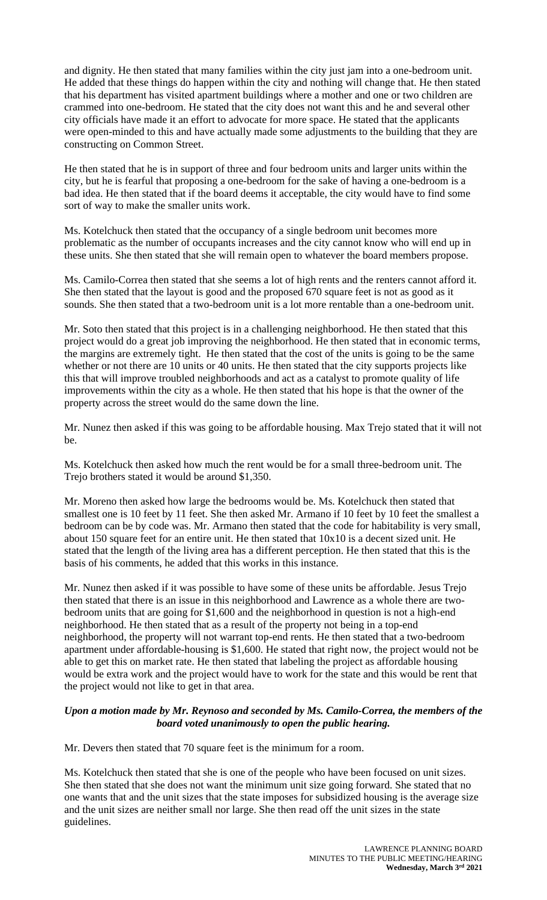and dignity. He then stated that many families within the city just jam into a one-bedroom unit. He added that these things do happen within the city and nothing will change that. He then stated that his department has visited apartment buildings where a mother and one or two children are crammed into one-bedroom. He stated that the city does not want this and he and several other city officials have made it an effort to advocate for more space. He stated that the applicants were open-minded to this and have actually made some adjustments to the building that they are constructing on Common Street.

He then stated that he is in support of three and four bedroom units and larger units within the city, but he is fearful that proposing a one-bedroom for the sake of having a one-bedroom is a bad idea. He then stated that if the board deems it acceptable, the city would have to find some sort of way to make the smaller units work.

Ms. Kotelchuck then stated that the occupancy of a single bedroom unit becomes more problematic as the number of occupants increases and the city cannot know who will end up in these units. She then stated that she will remain open to whatever the board members propose.

Ms. Camilo-Correa then stated that she seems a lot of high rents and the renters cannot afford it. She then stated that the layout is good and the proposed 670 square feet is not as good as it sounds. She then stated that a two-bedroom unit is a lot more rentable than a one-bedroom unit.

Mr. Soto then stated that this project is in a challenging neighborhood. He then stated that this project would do a great job improving the neighborhood. He then stated that in economic terms, the margins are extremely tight. He then stated that the cost of the units is going to be the same whether or not there are 10 units or 40 units. He then stated that the city supports projects like this that will improve troubled neighborhoods and act as a catalyst to promote quality of life improvements within the city as a whole. He then stated that his hope is that the owner of the property across the street would do the same down the line.

Mr. Nunez then asked if this was going to be affordable housing. Max Trejo stated that it will not be.

Ms. Kotelchuck then asked how much the rent would be for a small three-bedroom unit. The Trejo brothers stated it would be around \$1,350.

Mr. Moreno then asked how large the bedrooms would be. Ms. Kotelchuck then stated that smallest one is 10 feet by 11 feet. She then asked Mr. Armano if 10 feet by 10 feet the smallest a bedroom can be by code was. Mr. Armano then stated that the code for habitability is very small, about 150 square feet for an entire unit. He then stated that 10x10 is a decent sized unit. He stated that the length of the living area has a different perception. He then stated that this is the basis of his comments, he added that this works in this instance.

Mr. Nunez then asked if it was possible to have some of these units be affordable. Jesus Trejo then stated that there is an issue in this neighborhood and Lawrence as a whole there are twobedroom units that are going for \$1,600 and the neighborhood in question is not a high-end neighborhood. He then stated that as a result of the property not being in a top-end neighborhood, the property will not warrant top-end rents. He then stated that a two-bedroom apartment under affordable-housing is \$1,600. He stated that right now, the project would not be able to get this on market rate. He then stated that labeling the project as affordable housing would be extra work and the project would have to work for the state and this would be rent that the project would not like to get in that area.

#### *Upon a motion made by Mr. Reynoso and seconded by Ms. Camilo-Correa, the members of the board voted unanimously to open the public hearing.*

Mr. Devers then stated that 70 square feet is the minimum for a room.

Ms. Kotelchuck then stated that she is one of the people who have been focused on unit sizes. She then stated that she does not want the minimum unit size going forward. She stated that no one wants that and the unit sizes that the state imposes for subsidized housing is the average size and the unit sizes are neither small nor large. She then read off the unit sizes in the state guidelines.